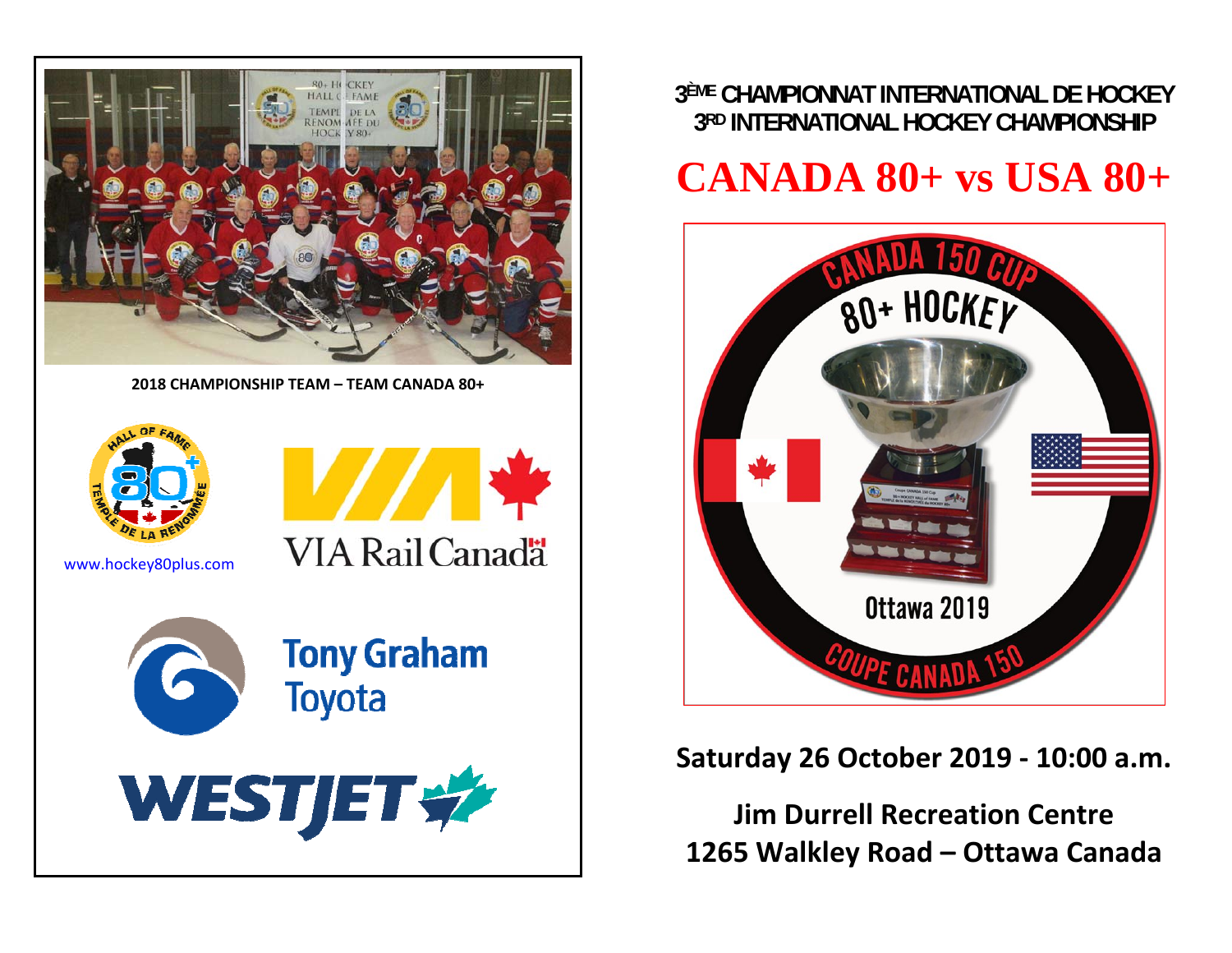

**2018 CHAMPIONSHIP TEAM – TEAM CANADA 80+**



www.hockey80plus.com



## **Tony Graham Toyota**

**VIA Rail Canada** 



**3ÈME CHAMPIONNAT INTERNATIONAL DE HOCKEY 3RD INTERNATIONAL HOCKEY CHAMPIONSHIP** 

# **CANADA 80+ vs USA 80+**



### **Saturday 26 October 2019 ‐ 10:00 a.m.**

**Jim Durrell Recreation Centre 1265 Walkley Road – Ottawa Canada**